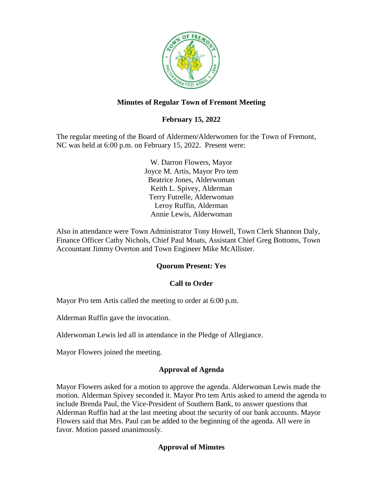

## **Minutes of Regular Town of Fremont Meeting**

# **February 15, 2022**

The regular meeting of the Board of Aldermen/Alderwomen for the Town of Fremont, NC was held at 6:00 p.m. on February 15, 2022. Present were:

> W. Darron Flowers, Mayor Joyce M. Artis, Mayor Pro tem Beatrice Jones, Alderwoman Keith L. Spivey, Alderman Terry Futrelle, Alderwoman Leroy Ruffin, Alderman Annie Lewis, Alderwoman

Also in attendance were Town Administrator Tony Howell, Town Clerk Shannon Daly, Finance Officer Cathy Nichols, Chief Paul Moats, Assistant Chief Greg Bottoms, Town Accountant Jimmy Overton and Town Engineer Mike McAllister.

### **Quorum Present: Yes**

### **Call to Order**

Mayor Pro tem Artis called the meeting to order at 6:00 p.m.

Alderman Ruffin gave the invocation.

Alderwoman Lewis led all in attendance in the Pledge of Allegiance.

Mayor Flowers joined the meeting.

### **Approval of Agenda**

Mayor Flowers asked for a motion to approve the agenda. Alderwoman Lewis made the motion. Alderman Spivey seconded it. Mayor Pro tem Artis asked to amend the agenda to include Brenda Paul, the Vice-President of Southern Bank, to answer questions that Alderman Ruffin had at the last meeting about the security of our bank accounts. Mayor Flowers said that Mrs. Paul can be added to the beginning of the agenda. All were in favor. Motion passed unanimously.

### **Approval of Minutes**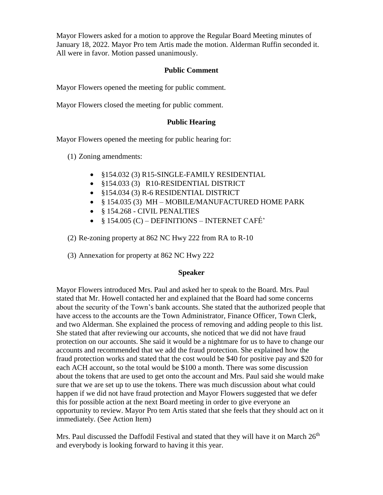Mayor Flowers asked for a motion to approve the Regular Board Meeting minutes of January 18, 2022. Mayor Pro tem Artis made the motion. Alderman Ruffin seconded it. All were in favor. Motion passed unanimously.

### **Public Comment**

Mayor Flowers opened the meeting for public comment.

Mayor Flowers closed the meeting for public comment.

### **Public Hearing**

Mayor Flowers opened the meeting for public hearing for:

- (1) Zoning amendments:
	- §154.032 (3) R15-SINGLE-FAMILY RESIDENTIAL
	- §154.033 (3) R10-RESIDENTIAL DISTRICT
	- §154.034 (3) R-6 RESIDENTIAL DISTRICT
	- § 154.035 (3) MH MOBILE/MANUFACTURED HOME PARK
	- § 154.268 CIVIL PENALTIES
	- $§ 154.005 (C) DEFINITIONS INTERNET CAFE'$

(2) Re-zoning property at 862 NC Hwy 222 from RA to R-10

(3) Annexation for property at 862 NC Hwy 222

#### **Speaker**

Mayor Flowers introduced Mrs. Paul and asked her to speak to the Board. Mrs. Paul stated that Mr. Howell contacted her and explained that the Board had some concerns about the security of the Town's bank accounts. She stated that the authorized people that have access to the accounts are the Town Administrator, Finance Officer, Town Clerk, and two Alderman. She explained the process of removing and adding people to this list. She stated that after reviewing our accounts, she noticed that we did not have fraud protection on our accounts. She said it would be a nightmare for us to have to change our accounts and recommended that we add the fraud protection. She explained how the fraud protection works and stated that the cost would be \$40 for positive pay and \$20 for each ACH account, so the total would be \$100 a month. There was some discussion about the tokens that are used to get onto the account and Mrs. Paul said she would make sure that we are set up to use the tokens. There was much discussion about what could happen if we did not have fraud protection and Mayor Flowers suggested that we defer this for possible action at the next Board meeting in order to give everyone an opportunity to review. Mayor Pro tem Artis stated that she feels that they should act on it immediately. (See Action Item)

Mrs. Paul discussed the Daffodil Festival and stated that they will have it on March  $26<sup>th</sup>$ and everybody is looking forward to having it this year.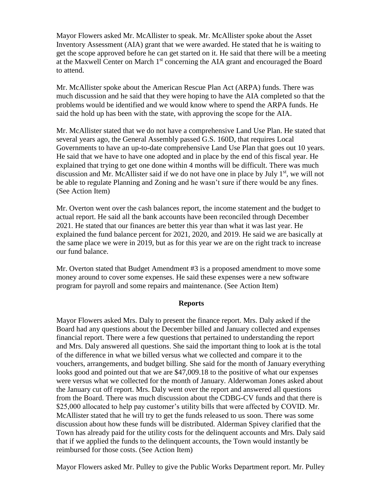Mayor Flowers asked Mr. McAllister to speak. Mr. McAllister spoke about the Asset Inventory Assessment (AIA) grant that we were awarded. He stated that he is waiting to get the scope approved before he can get started on it. He said that there will be a meeting at the Maxwell Center on March  $1<sup>st</sup>$  concerning the AIA grant and encouraged the Board to attend.

Mr. McAllister spoke about the American Rescue Plan Act (ARPA) funds. There was much discussion and he said that they were hoping to have the AIA completed so that the problems would be identified and we would know where to spend the ARPA funds. He said the hold up has been with the state, with approving the scope for the AIA.

Mr. McAllister stated that we do not have a comprehensive Land Use Plan. He stated that several years ago, the General Assembly passed G.S. 160D, that requires Local Governments to have an up-to-date comprehensive Land Use Plan that goes out 10 years. He said that we have to have one adopted and in place by the end of this fiscal year. He explained that trying to get one done within 4 months will be difficult. There was much discussion and Mr. McAllister said if we do not have one in place by July  $1<sup>st</sup>$ , we will not be able to regulate Planning and Zoning and he wasn't sure if there would be any fines. (See Action Item)

Mr. Overton went over the cash balances report, the income statement and the budget to actual report. He said all the bank accounts have been reconciled through December 2021. He stated that our finances are better this year than what it was last year. He explained the fund balance percent for 2021, 2020, and 2019. He said we are basically at the same place we were in 2019, but as for this year we are on the right track to increase our fund balance.

Mr. Overton stated that Budget Amendment #3 is a proposed amendment to move some money around to cover some expenses. He said these expenses were a new software program for payroll and some repairs and maintenance. (See Action Item)

#### **Reports**

Mayor Flowers asked Mrs. Daly to present the finance report. Mrs. Daly asked if the Board had any questions about the December billed and January collected and expenses financial report. There were a few questions that pertained to understanding the report and Mrs. Daly answered all questions. She said the important thing to look at is the total of the difference in what we billed versus what we collected and compare it to the vouchers, arrangements, and budget billing. She said for the month of January everything looks good and pointed out that we are \$47,009.18 to the positive of what our expenses were versus what we collected for the month of January. Alderwoman Jones asked about the January cut off report. Mrs. Daly went over the report and answered all questions from the Board. There was much discussion about the CDBG-CV funds and that there is \$25,000 allocated to help pay customer's utility bills that were affected by COVID. Mr. McAllister stated that he will try to get the funds released to us soon. There was some discussion about how these funds will be distributed. Alderman Spivey clarified that the Town has already paid for the utility costs for the delinquent accounts and Mrs. Daly said that if we applied the funds to the delinquent accounts, the Town would instantly be reimbursed for those costs. (See Action Item)

Mayor Flowers asked Mr. Pulley to give the Public Works Department report. Mr. Pulley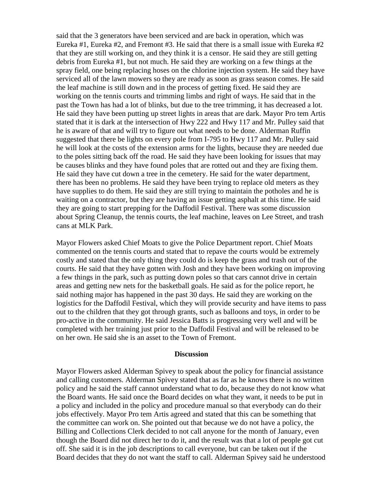said that the 3 generators have been serviced and are back in operation, which was Eureka #1, Eureka #2, and Fremont #3. He said that there is a small issue with Eureka  $#2$ that they are still working on, and they think it is a censor. He said they are still getting debris from Eureka #1, but not much. He said they are working on a few things at the spray field, one being replacing hoses on the chlorine injection system. He said they have serviced all of the lawn mowers so they are ready as soon as grass season comes. He said the leaf machine is still down and in the process of getting fixed. He said they are working on the tennis courts and trimming limbs and right of ways. He said that in the past the Town has had a lot of blinks, but due to the tree trimming, it has decreased a lot. He said they have been putting up street lights in areas that are dark. Mayor Pro tem Artis stated that it is dark at the intersection of Hwy 222 and Hwy 117 and Mr. Pulley said that he is aware of that and will try to figure out what needs to be done. Alderman Ruffin suggested that there be lights on every pole from I-795 to Hwy 117 and Mr. Pulley said he will look at the costs of the extension arms for the lights, because they are needed due to the poles sitting back off the road. He said they have been looking for issues that may be causes blinks and they have found poles that are rotted out and they are fixing them. He said they have cut down a tree in the cemetery. He said for the water department, there has been no problems. He said they have been trying to replace old meters as they have supplies to do them. He said they are still trying to maintain the potholes and he is waiting on a contractor, but they are having an issue getting asphalt at this time. He said they are going to start prepping for the Daffodil Festival. There was some discussion about Spring Cleanup, the tennis courts, the leaf machine, leaves on Lee Street, and trash cans at MLK Park.

Mayor Flowers asked Chief Moats to give the Police Department report. Chief Moats commented on the tennis courts and stated that to repave the courts would be extremely costly and stated that the only thing they could do is keep the grass and trash out of the courts. He said that they have gotten with Josh and they have been working on improving a few things in the park, such as putting down poles so that cars cannot drive in certain areas and getting new nets for the basketball goals. He said as for the police report, he said nothing major has happened in the past 30 days. He said they are working on the logistics for the Daffodil Festival, which they will provide security and have items to pass out to the children that they got through grants, such as balloons and toys, in order to be pro-active in the community. He said Jessica Batts is progressing very well and will be completed with her training just prior to the Daffodil Festival and will be released to be on her own. He said she is an asset to the Town of Fremont.

#### **Discussion**

Mayor Flowers asked Alderman Spivey to speak about the policy for financial assistance and calling customers. Alderman Spivey stated that as far as he knows there is no written policy and he said the staff cannot understand what to do, because they do not know what the Board wants. He said once the Board decides on what they want, it needs to be put in a policy and included in the policy and procedure manual so that everybody can do their jobs effectively. Mayor Pro tem Artis agreed and stated that this can be something that the committee can work on. She pointed out that because we do not have a policy, the Billing and Collections Clerk decided to not call anyone for the month of January, even though the Board did not direct her to do it, and the result was that a lot of people got cut off. She said it is in the job descriptions to call everyone, but can be taken out if the Board decides that they do not want the staff to call. Alderman Spivey said he understood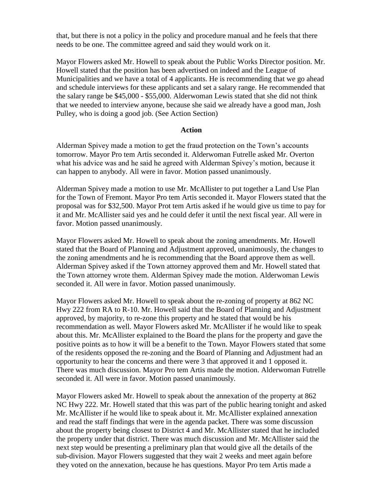that, but there is not a policy in the policy and procedure manual and he feels that there needs to be one. The committee agreed and said they would work on it.

Mayor Flowers asked Mr. Howell to speak about the Public Works Director position. Mr. Howell stated that the position has been advertised on indeed and the League of Municipalities and we have a total of 4 applicants. He is recommending that we go ahead and schedule interviews for these applicants and set a salary range. He recommended that the salary range be \$45,000 - \$55,000. Alderwoman Lewis stated that she did not think that we needed to interview anyone, because she said we already have a good man, Josh Pulley, who is doing a good job. (See Action Section)

#### **Action**

Alderman Spivey made a motion to get the fraud protection on the Town's accounts tomorrow. Mayor Pro tem Artis seconded it. Alderwoman Futrelle asked Mr. Overton what his advice was and he said he agreed with Alderman Spivey's motion, because it can happen to anybody. All were in favor. Motion passed unanimously.

Alderman Spivey made a motion to use Mr. McAllister to put together a Land Use Plan for the Town of Fremont. Mayor Pro tem Artis seconded it. Mayor Flowers stated that the proposal was for \$32,500. Mayor Prot tem Artis asked if he would give us time to pay for it and Mr. McAllister said yes and he could defer it until the next fiscal year. All were in favor. Motion passed unanimously.

Mayor Flowers asked Mr. Howell to speak about the zoning amendments. Mr. Howell stated that the Board of Planning and Adjustment approved, unanimously, the changes to the zoning amendments and he is recommending that the Board approve them as well. Alderman Spivey asked if the Town attorney approved them and Mr. Howell stated that the Town attorney wrote them. Alderman Spivey made the motion. Alderwoman Lewis seconded it. All were in favor. Motion passed unanimously.

Mayor Flowers asked Mr. Howell to speak about the re-zoning of property at 862 NC Hwy 222 from RA to R-10. Mr. Howell said that the Board of Planning and Adjustment approved, by majority, to re-zone this property and he stated that would be his recommendation as well. Mayor Flowers asked Mr. McAllister if he would like to speak about this. Mr. McAllister explained to the Board the plans for the property and gave the positive points as to how it will be a benefit to the Town. Mayor Flowers stated that some of the residents opposed the re-zoning and the Board of Planning and Adjustment had an opportunity to hear the concerns and there were 3 that approved it and 1 opposed it. There was much discussion. Mayor Pro tem Artis made the motion. Alderwoman Futrelle seconded it. All were in favor. Motion passed unanimously.

Mayor Flowers asked Mr. Howell to speak about the annexation of the property at 862 NC Hwy 222. Mr. Howell stated that this was part of the public hearing tonight and asked Mr. McAllister if he would like to speak about it. Mr. McAllister explained annexation and read the staff findings that were in the agenda packet. There was some discussion about the property being closest to District 4 and Mr. McAllister stated that he included the property under that district. There was much discussion and Mr. McAllister said the next step would be presenting a preliminary plan that would give all the details of the sub-division. Mayor Flowers suggested that they wait 2 weeks and meet again before they voted on the annexation, because he has questions. Mayor Pro tem Artis made a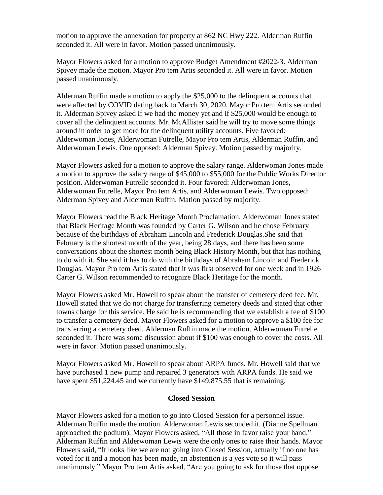motion to approve the annexation for property at 862 NC Hwy 222. Alderman Ruffin seconded it. All were in favor. Motion passed unanimously.

Mayor Flowers asked for a motion to approve Budget Amendment #2022-3. Alderman Spivey made the motion. Mayor Pro tem Artis seconded it. All were in favor. Motion passed unanimously.

Alderman Ruffin made a motion to apply the \$25,000 to the delinquent accounts that were affected by COVID dating back to March 30, 2020. Mayor Pro tem Artis seconded it. Alderman Spivey asked if we had the money yet and if \$25,000 would be enough to cover all the delinquent accounts. Mr. McAllister said he will try to move some things around in order to get more for the delinquent utility accounts. Five favored: Alderwoman Jones, Alderwoman Futrelle, Mayor Pro tem Artis, Alderman Ruffin, and Alderwoman Lewis. One opposed: Alderman Spivey. Motion passed by majority.

Mayor Flowers asked for a motion to approve the salary range. Alderwoman Jones made a motion to approve the salary range of \$45,000 to \$55,000 for the Public Works Director position. Alderwoman Futrelle seconded it. Four favored: Alderwoman Jones, Alderwoman Futrelle, Mayor Pro tem Artis, and Alderwoman Lewis. Two opposed: Alderman Spivey and Alderman Ruffin. Mation passed by majority.

Mayor Flowers read the Black Heritage Month Proclamation. Alderwoman Jones stated that Black Heritage Month was founded by Carter G. Wilson and he chose February because of the birthdays of Abraham Lincoln and Frederick Douglas.She said that February is the shortest month of the year, being 28 days, and there has been some conversations about the shortest month being Black History Month, but that has nothing to do with it. She said it has to do with the birthdays of Abraham Lincoln and Frederick Douglas. Mayor Pro tem Artis stated that it was first observed for one week and in 1926 Carter G. Wilson recommended to recognize Black Heritage for the month.

Mayor Flowers asked Mr. Howell to speak about the transfer of cemetery deed fee. Mr. Howell stated that we do not charge for transferring cemetery deeds and stated that other towns charge for this service. He said he is recommending that we establish a fee of \$100 to transfer a cemetery deed. Mayor Flowers asked for a motion to approve a \$100 fee for transferring a cemetery deed. Alderman Ruffin made the motion. Alderwoman Futrelle seconded it. There was some discussion about if \$100 was enough to cover the costs. All were in favor. Motion passed unanimously.

Mayor Flowers asked Mr. Howell to speak about ARPA funds. Mr. Howell said that we have purchased 1 new pump and repaired 3 generators with ARPA funds. He said we have spent \$51,224.45 and we currently have \$149,875.55 that is remaining.

#### **Closed Session**

Mayor Flowers asked for a motion to go into Closed Session for a personnel issue. Alderman Ruffin made the motion. Alderwoman Lewis seconded it. (Dianne Spellman approached the podium). Mayor Flowers asked, "All those in favor raise your hand." Alderman Ruffin and Alderwoman Lewis were the only ones to raise their hands. Mayor Flowers said, "It looks like we are not going into Closed Session, actually if no one has voted for it and a motion has been made, an abstention is a yes vote so it will pass unanimously." Mayor Pro tem Artis asked, "Are you going to ask for those that oppose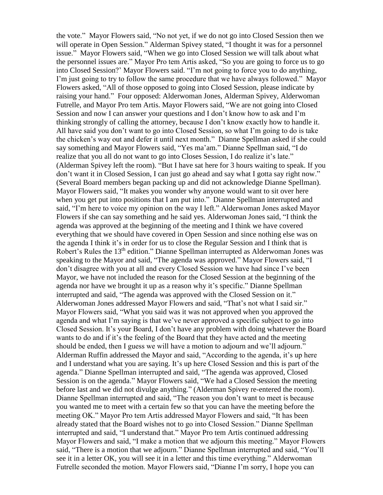the vote." Mayor Flowers said, "No not yet, if we do not go into Closed Session then we will operate in Open Session." Alderman Spivey stated, "I thought it was for a personnel issue." Mayor Flowers said, "When we go into Closed Session we will talk about what the personnel issues are." Mayor Pro tem Artis asked, "So you are going to force us to go into Closed Session?' Mayor Flowers said. "I'm not going to force you to do anything, I'm just going to try to follow the same procedure that we have always followed." Mayor Flowers asked, "All of those opposed to going into Closed Session, please indicate by raising your hand." Four opposed: Alderwoman Jones, Alderman Spivey, Alderwoman Futrelle, and Mayor Pro tem Artis. Mayor Flowers said, "We are not going into Closed Session and now I can answer your questions and I don't know how to ask and I'm thinking strongly of calling the attorney, because I don't know exactly how to handle it. All have said you don't want to go into Closed Session, so what I'm going to do is take the chicken's way out and defer it until next month." Dianne Spellman asked if she could say something and Mayor Flowers said, "Yes ma'am." Dianne Spellman said, "I do realize that you all do not want to go into Closes Session, I do realize it's late." (Alderman Spivey left the room). "But I have sat here for 3 hours waiting to speak. If you don't want it in Closed Session, I can just go ahead and say what I gotta say right now." (Several Board members began packing up and did not acknowledge Dianne Spellman). Mayor Flowers said, "It makes you wonder why anyone would want to sit over here when you get put into positions that I am put into." Dianne Spellman interrupted and said, "I'm here to voice my opinion on the way I left." Alderwoman Jones asked Mayor Flowers if she can say something and he said yes. Alderwoman Jones said, "I think the agenda was approved at the beginning of the meeting and I think we have covered everything that we should have covered in Open Session and since nothing else was on the agenda I think it's in order for us to close the Regular Session and I think that is Robert's Rules the 13<sup>th</sup> edition." Dianne Spellman interrupted as Alderwoman Jones was speaking to the Mayor and said, "The agenda was approved." Mayor Flowers said, "I don't disagree with you at all and every Closed Session we have had since I've been Mayor, we have not included the reason for the Closed Session at the beginning of the agenda nor have we brought it up as a reason why it's specific." Dianne Spellman interrupted and said, "The agenda was approved with the Closed Session on it." Alderwoman Jones addressed Mayor Flowers and said, "That's not what I said sir." Mayor Flowers said, "What you said was it was not approved when you approved the agenda and what I'm saying is that we've never approved a specific subject to go into Closed Session. It's your Board, I don't have any problem with doing whatever the Board wants to do and if it's the feeling of the Board that they have acted and the meeting should be ended, then I guess we will have a motion to adjourn and we'll adjourn." Alderman Ruffin addressed the Mayor and said, "According to the agenda, it's up here and I understand what you are saying. It's up here Closed Session and this is part of the agenda." Dianne Spellman interrupted and said, "The agenda was approved, Closed Session is on the agenda." Mayor Flowers said, "We had a Closed Session the meeting before last and we did not divulge anything." (Alderman Spivey re-entered the room). Dianne Spellman interrupted and said, "The reason you don't want to meet is because you wanted me to meet with a certain few so that you can have the meeting before the meeting OK." Mayor Pro tem Artis addressed Mayor Flowers and said, "It has been already stated that the Board wishes not to go into Closed Session." Dianne Spellman interrupted and said, "I understand that." Mayor Pro tem Artis continued addressing Mayor Flowers and said, "I make a motion that we adjourn this meeting." Mayor Flowers said, "There is a motion that we adjourn." Dianne Spellman interrupted and said, "You'll see it in a letter OK, you will see it in a letter and this time everything." Alderwoman Futrelle seconded the motion. Mayor Flowers said, "Dianne I'm sorry, I hope you can